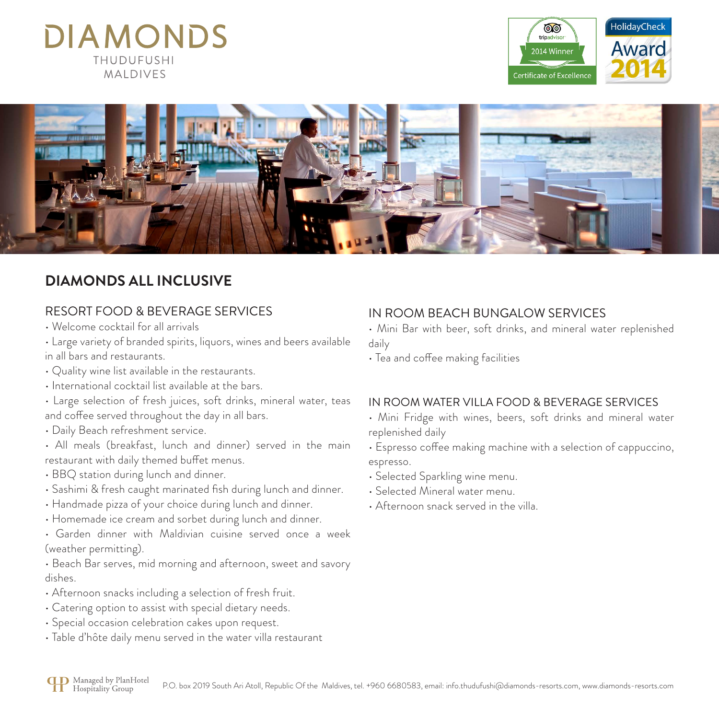# **DIAMONDS THUDUFUSHI MAIDIVES**





## **DIAMONDS ALL INCLUSIVE**

### RESORT FOOD & BEVERAGE SERVICES

- Welcome cocktail for all arrivals
- Large variety of branded spirits, liquors, wines and beers available in all bars and restaurants.
- Quality wine list available in the restaurants.
- International cocktail list available at the bars.
- Large selection of fresh juices, soft drinks, mineral water, teas and coffee served throughout the day in all bars.
- Daily Beach refreshment service.
- All meals (breakfast, lunch and dinner) served in the main restaurant with daily themed buffet menus.
- BBQ station during lunch and dinner.
- Sashimi & fresh caught marinated fish during lunch and dinner.
- Handmade pizza of your choice during lunch and dinner.
- Homemade ice cream and sorbet during lunch and dinner.
- Garden dinner with Maldivian cuisine served once a week (weather permitting).
- Beach Bar serves, mid morning and afternoon, sweet and savory dishes.
- Afternoon snacks including a selection of fresh fruit.
- Catering option to assist with special dietary needs.
- Special occasion celebration cakes upon request.
- Table d'hôte daily menu served in the water villa restaurant

### IN ROOM BEACH BUNGALOW SERVICES

- Mini Bar with beer, soft drinks, and mineral water replenished daily
- Tea and coffee making facilities

### IN ROOM WATER VILLA FOOD & BEVERAGE SERVICES

- Mini Fridge with wines, beers, soft drinks and mineral water replenished daily
- Espresso coffee making machine with a selection of cappuccino, espresso.
- Selected Sparkling wine menu.
- Selected Mineral water menu.
- Afternoon snack served in the villa.